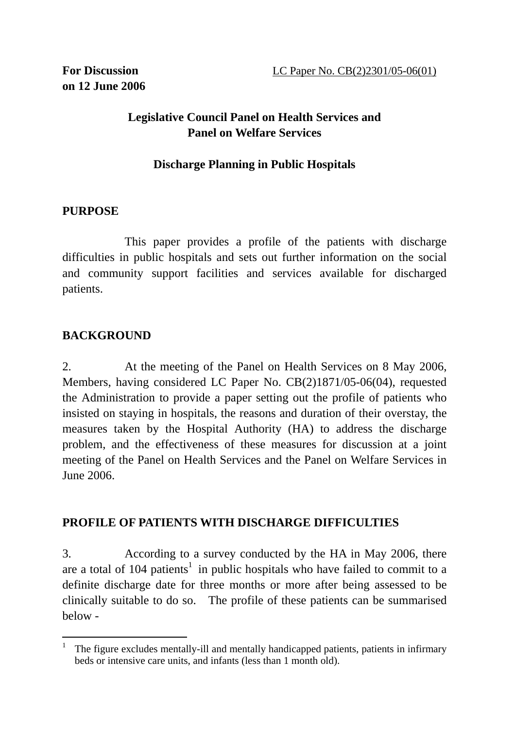# **Legislative Council Panel on Health Services and Panel on Welfare Services**

## **Discharge Planning in Public Hospitals**

## **PURPOSE**

 This paper provides a profile of the patients with discharge difficulties in public hospitals and sets out further information on the social and community support facilities and services available for discharged patients.

# **BACKGROUND**

 $\overline{a}$ 

2. At the meeting of the Panel on Health Services on 8 May 2006, Members, having considered LC Paper No. CB(2)1871/05-06(04), requested the Administration to provide a paper setting out the profile of patients who insisted on staying in hospitals, the reasons and duration of their overstay, the measures taken by the Hospital Authority (HA) to address the discharge problem, and the effectiveness of these measures for discussion at a joint meeting of the Panel on Health Services and the Panel on Welfare Services in June 2006.

## **PROFILE OF PATIENTS WITH DISCHARGE DIFFICULTIES**

3. According to a survey conducted by the HA in May 2006, there are a total of  $104$  patients<sup>1</sup> in public hospitals who have failed to commit to a definite discharge date for three months or more after being assessed to be clinically suitable to do so. The profile of these patients can be summarised below -

<sup>1</sup> The figure excludes mentally-ill and mentally handicapped patients, patients in infirmary beds or intensive care units, and infants (less than 1 month old).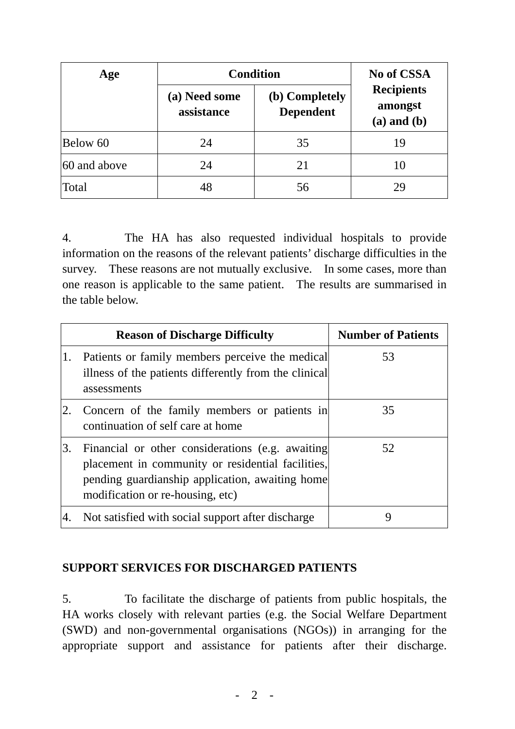| Age          | <b>Condition</b>            |                                    | <b>No of CSSA</b>                               |
|--------------|-----------------------------|------------------------------------|-------------------------------------------------|
|              | (a) Need some<br>assistance | (b) Completely<br><b>Dependent</b> | <b>Recipients</b><br>amongst<br>$(a)$ and $(b)$ |
| Below 60     | 24                          | 35                                 | 19                                              |
| 60 and above | 24                          | 21                                 |                                                 |
| Total        | 48                          | 56                                 |                                                 |

4. The HA has also requested individual hospitals to provide information on the reasons of the relevant patients' discharge difficulties in the survey. These reasons are not mutually exclusive. In some cases, more than one reason is applicable to the same patient. The results are summarised in the table below.

|    | <b>Reason of Discharge Difficulty</b>                                                                                                                                                        | <b>Number of Patients</b> |
|----|----------------------------------------------------------------------------------------------------------------------------------------------------------------------------------------------|---------------------------|
| 1. | Patients or family members perceive the medical<br>illness of the patients differently from the clinical<br>assessments                                                                      | 53                        |
| 2. | Concern of the family members or patients in<br>continuation of self care at home                                                                                                            | 35                        |
| 3. | Financial or other considerations (e.g. awaiting<br>placement in community or residential facilities,<br>pending guardianship application, awaiting home<br>modification or re-housing, etc) | 52                        |
|    | Not satisfied with social support after discharge                                                                                                                                            |                           |

## **SUPPORT SERVICES FOR DISCHARGED PATIENTS**

5. To facilitate the discharge of patients from public hospitals, the HA works closely with relevant parties (e.g. the Social Welfare Department (SWD) and non-governmental organisations (NGOs)) in arranging for the appropriate support and assistance for patients after their discharge.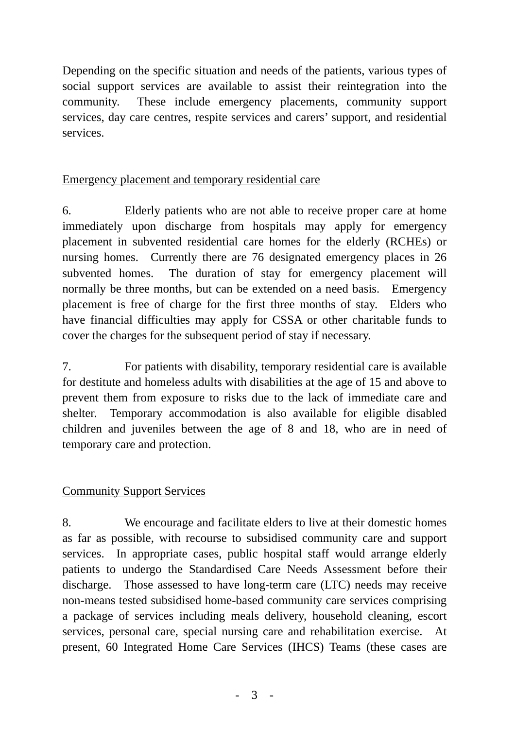Depending on the specific situation and needs of the patients, various types of social support services are available to assist their reintegration into the community. These include emergency placements, community support services, day care centres, respite services and carers' support, and residential services.

#### Emergency placement and temporary residential care

6. Elderly patients who are not able to receive proper care at home immediately upon discharge from hospitals may apply for emergency placement in subvented residential care homes for the elderly (RCHEs) or nursing homes. Currently there are 76 designated emergency places in 26 subvented homes. The duration of stay for emergency placement will normally be three months, but can be extended on a need basis. Emergency placement is free of charge for the first three months of stay. Elders who have financial difficulties may apply for CSSA or other charitable funds to cover the charges for the subsequent period of stay if necessary.

7. For patients with disability, temporary residential care is available for destitute and homeless adults with disabilities at the age of 15 and above to prevent them from exposure to risks due to the lack of immediate care and shelter. Temporary accommodation is also available for eligible disabled children and juveniles between the age of 8 and 18, who are in need of temporary care and protection.

#### Community Support Services

8. We encourage and facilitate elders to live at their domestic homes as far as possible, with recourse to subsidised community care and support services. In appropriate cases, public hospital staff would arrange elderly patients to undergo the Standardised Care Needs Assessment before their discharge. Those assessed to have long-term care (LTC) needs may receive non-means tested subsidised home-based community care services comprising a package of services including meals delivery, household cleaning, escort services, personal care, special nursing care and rehabilitation exercise. At present, 60 Integrated Home Care Services (IHCS) Teams (these cases are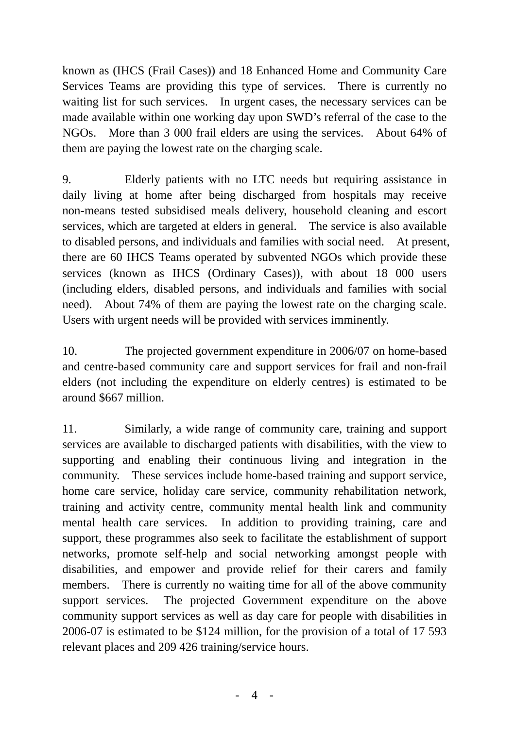known as (IHCS (Frail Cases)) and 18 Enhanced Home and Community Care Services Teams are providing this type of services. There is currently no waiting list for such services. In urgent cases, the necessary services can be made available within one working day upon SWD's referral of the case to the NGOs. More than 3 000 frail elders are using the services. About 64% of them are paying the lowest rate on the charging scale.

9. Elderly patients with no LTC needs but requiring assistance in daily living at home after being discharged from hospitals may receive non-means tested subsidised meals delivery, household cleaning and escort services, which are targeted at elders in general. The service is also available to disabled persons, and individuals and families with social need. At present, there are 60 IHCS Teams operated by subvented NGOs which provide these services (known as IHCS (Ordinary Cases)), with about 18 000 users (including elders, disabled persons, and individuals and families with social need). About 74% of them are paying the lowest rate on the charging scale. Users with urgent needs will be provided with services imminently.

10. The projected government expenditure in 2006/07 on home-based and centre-based community care and support services for frail and non-frail elders (not including the expenditure on elderly centres) is estimated to be around \$667 million.

11. Similarly, a wide range of community care, training and support services are available to discharged patients with disabilities, with the view to supporting and enabling their continuous living and integration in the community. These services include home-based training and support service, home care service, holiday care service, community rehabilitation network, training and activity centre, community mental health link and community mental health care services. In addition to providing training, care and support, these programmes also seek to facilitate the establishment of support networks, promote self-help and social networking amongst people with disabilities, and empower and provide relief for their carers and family members. There is currently no waiting time for all of the above community support services. The projected Government expenditure on the above community support services as well as day care for people with disabilities in 2006-07 is estimated to be \$124 million, for the provision of a total of 17 593 relevant places and 209 426 training/service hours.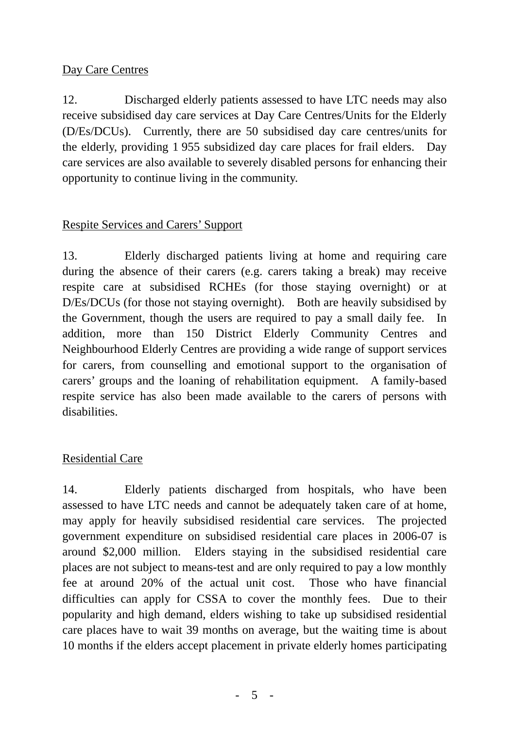### Day Care Centres

12. Discharged elderly patients assessed to have LTC needs may also receive subsidised day care services at Day Care Centres/Units for the Elderly (D/Es/DCUs). Currently, there are 50 subsidised day care centres/units for the elderly, providing 1 955 subsidized day care places for frail elders. Day care services are also available to severely disabled persons for enhancing their opportunity to continue living in the community.

## Respite Services and Carers' Support

13. Elderly discharged patients living at home and requiring care during the absence of their carers (e.g. carers taking a break) may receive respite care at subsidised RCHEs (for those staying overnight) or at D/Es/DCUs (for those not staying overnight). Both are heavily subsidised by the Government, though the users are required to pay a small daily fee. In addition, more than 150 District Elderly Community Centres and Neighbourhood Elderly Centres are providing a wide range of support services for carers, from counselling and emotional support to the organisation of carers' groups and the loaning of rehabilitation equipment.A family-based respite service has also been made available to the carers of persons with disabilities.

#### Residential Care

14. Elderly patients discharged from hospitals, who have been assessed to have LTC needs and cannot be adequately taken care of at home, may apply for heavily subsidised residential care services. The projected government expenditure on subsidised residential care places in 2006-07 is around \$2,000 million. Elders staying in the subsidised residential care places are not subject to means-test and are only required to pay a low monthly fee at around 20% of the actual unit cost. Those who have financial difficulties can apply for CSSA to cover the monthly fees. Due to their popularity and high demand, elders wishing to take up subsidised residential care places have to wait 39 months on average, but the waiting time is about 10 months if the elders accept placement in private elderly homes participating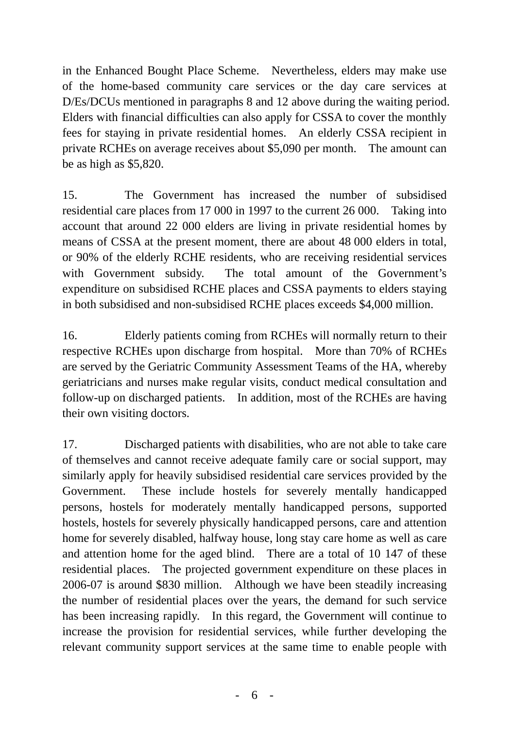in the Enhanced Bought Place Scheme. Nevertheless, elders may make use of the home-based community care services or the day care services at D/Es/DCUs mentioned in paragraphs 8 and 12 above during the waiting period. Elders with financial difficulties can also apply for CSSA to cover the monthly fees for staying in private residential homes. An elderly CSSA recipient in private RCHEs on average receives about \$5,090 per month. The amount can be as high as \$5,820.

15. The Government has increased the number of subsidised residential care places from 17 000 in 1997 to the current 26 000. Taking into account that around 22 000 elders are living in private residential homes by means of CSSA at the present moment, there are about 48 000 elders in total, or 90% of the elderly RCHE residents, who are receiving residential services with Government subsidy. The total amount of the Government's expenditure on subsidised RCHE places and CSSA payments to elders staying in both subsidised and non-subsidised RCHE places exceeds \$4,000 million.

16. Elderly patients coming from RCHEs will normally return to their respective RCHEs upon discharge from hospital. More than 70% of RCHEs are served by the Geriatric Community Assessment Teams of the HA, whereby geriatricians and nurses make regular visits, conduct medical consultation and follow-up on discharged patients. In addition, most of the RCHEs are having their own visiting doctors.

17. Discharged patients with disabilities, who are not able to take care of themselves and cannot receive adequate family care or social support, may similarly apply for heavily subsidised residential care services provided by the Government. These include hostels for severely mentally handicapped persons, hostels for moderately mentally handicapped persons, supported hostels, hostels for severely physically handicapped persons, care and attention home for severely disabled, halfway house, long stay care home as well as care and attention home for the aged blind. There are a total of 10 147 of these residential places. The projected government expenditure on these places in 2006-07 is around \$830 million. Although we have been steadily increasing the number of residential places over the years, the demand for such service has been increasing rapidly. In this regard, the Government will continue to increase the provision for residential services, while further developing the relevant community support services at the same time to enable people with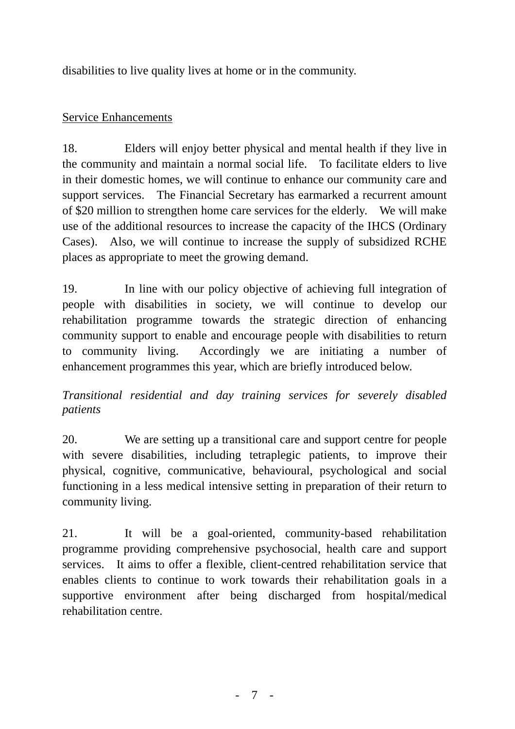disabilities to live quality lives at home or in the community.

## Service Enhancements

18. Elders will enjoy better physical and mental health if they live in the community and maintain a normal social life. To facilitate elders to live in their domestic homes, we will continue to enhance our community care and support services. The Financial Secretary has earmarked a recurrent amount of \$20 million to strengthen home care services for the elderly. We will make use of the additional resources to increase the capacity of the IHCS (Ordinary Cases). Also, we will continue to increase the supply of subsidized RCHE places as appropriate to meet the growing demand.

19. In line with our policy objective of achieving full integration of people with disabilities in society, we will continue to develop our rehabilitation programme towards the strategic direction of enhancing community support to enable and encourage people with disabilities to return to community living. Accordingly we are initiating a number of enhancement programmes this year, which are briefly introduced below.

*Transitional residential and day training services for severely disabled patients* 

20. We are setting up a transitional care and support centre for people with severe disabilities, including tetraplegic patients, to improve their physical, cognitive, communicative, behavioural, psychological and social functioning in a less medical intensive setting in preparation of their return to community living.

21. It will be a goal-oriented, community-based rehabilitation programme providing comprehensive psychosocial, health care and support services. It aims to offer a flexible, client-centred rehabilitation service that enables clients to continue to work towards their rehabilitation goals in a supportive environment after being discharged from hospital/medical rehabilitation centre.